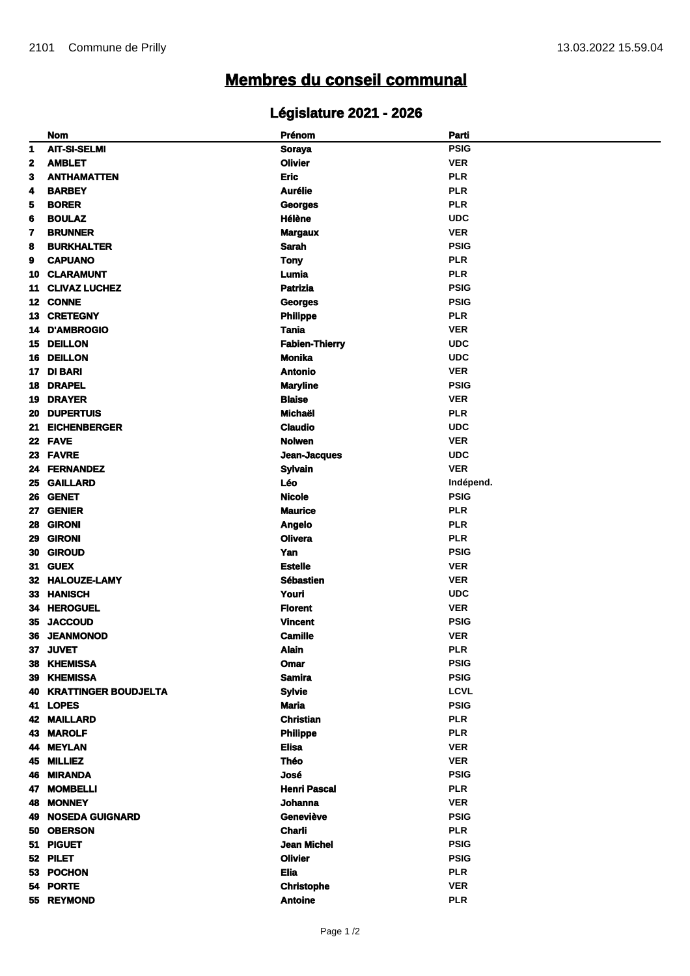## **Membres du conseil communal**

## **Législature 2021 - 2026**

|    | <b>Nom</b>                  | <b>Prénom</b>                  | Parti       |
|----|-----------------------------|--------------------------------|-------------|
| 1  | <b>AIT-SI-SELMI</b>         | <b>Soraya</b>                  | <b>PSIG</b> |
| 2  | <b>AMBLET</b>               | <b>Olivier</b>                 | <b>VER</b>  |
| 3  | <b>ANTHAMATTEN</b>          | <b>Eric</b>                    | <b>PLR</b>  |
| 4  | <b>BARBEY</b>               | <b>Aurélie</b>                 | <b>PLR</b>  |
| 5  | <b>BORER</b>                | <b>Georges</b>                 | <b>PLR</b>  |
| 6  | <b>BOULAZ</b>               | <b>Hélène</b>                  | <b>UDC</b>  |
| 7  | <b>BRUNNER</b>              |                                | <b>VER</b>  |
|    | <b>BURKHALTER</b>           | <b>Margaux</b><br><b>Sarah</b> | <b>PSIG</b> |
| 8  | <b>CAPUANO</b>              |                                | <b>PLR</b>  |
| 9  |                             | <b>Tony</b>                    |             |
| 10 | <b>CLARAMUNT</b>            | Lumia                          | <b>PLR</b>  |
| 11 | <b>CLIVAZ LUCHEZ</b>        | <b>Patrizia</b>                | <b>PSIG</b> |
| 12 | <b>CONNE</b>                | <b>Georges</b>                 | <b>PSIG</b> |
| 13 | <b>CRETEGNY</b>             | <b>Philippe</b>                | <b>PLR</b>  |
| 14 | <b>D'AMBROGIO</b>           | <b>Tania</b>                   | <b>VER</b>  |
| 15 | <b>DEILLON</b>              | <b>Fabien-Thierry</b>          | <b>UDC</b>  |
| 16 | <b>DEILLON</b>              | <b>Monika</b>                  | <b>UDC</b>  |
| 17 | <b>DI BARI</b>              | <b>Antonio</b>                 | <b>VER</b>  |
| 18 | <b>DRAPEL</b>               | <b>Maryline</b>                | <b>PSIG</b> |
| 19 | <b>DRAYER</b>               | <b>Blaise</b>                  | <b>VER</b>  |
| 20 | <b>DUPERTUIS</b>            | <b>Michaël</b>                 | <b>PLR</b>  |
| 21 | <b>EICHENBERGER</b>         | <b>Claudio</b>                 | <b>UDC</b>  |
|    | 22 FAVE                     | <b>Nolwen</b>                  | <b>VER</b>  |
| 23 | <b>FAVRE</b>                | Jean-Jacques                   | <b>UDC</b>  |
| 24 | <b>FERNANDEZ</b>            | <b>Sylvain</b>                 | <b>VER</b>  |
| 25 | <b>GAILLARD</b>             | Léo                            | Indépend.   |
| 26 | <b>GENET</b>                | <b>Nicole</b>                  | <b>PSIG</b> |
| 27 | <b>GENIER</b>               | <b>Maurice</b>                 | <b>PLR</b>  |
| 28 | <b>GIRONI</b>               | Angelo                         | <b>PLR</b>  |
| 29 | <b>GIRONI</b>               | <b>Olivera</b>                 | <b>PLR</b>  |
| 30 | <b>GIROUD</b>               | Yan                            | <b>PSIG</b> |
| 31 | <b>GUEX</b>                 | <b>Estelle</b>                 | <b>VER</b>  |
| 32 | <b>HALOUZE-LAMY</b>         | Sébastien                      | <b>VER</b>  |
| 33 | <b>HANISCH</b>              | Youri                          | <b>UDC</b>  |
| 34 | <b>HEROGUEL</b>             | <b>Florent</b>                 | <b>VER</b>  |
| 35 | <b>JACCOUD</b>              | <b>Vincent</b>                 | <b>PSIG</b> |
|    | 36 JEANMONOD                | <b>Camille</b>                 | <b>VER</b>  |
|    | 37 JUVET                    | <b>Alain</b>                   | <b>PLR</b>  |
| 38 | <b>KHEMISSA</b>             | Omar                           | <b>PSIG</b> |
| 39 | <b>KHEMISSA</b>             | <b>Samira</b>                  | <b>PSIG</b> |
| 40 | <b>KRATTINGER BOUDJELTA</b> | <b>Sylvie</b>                  | <b>LCVL</b> |
| 41 | <b>LOPES</b>                | Maria                          | <b>PSIG</b> |
| 42 | <b>MAILLARD</b>             | <b>Christian</b>               | <b>PLR</b>  |
| 43 | <b>MAROLF</b>               | <b>Philippe</b>                | <b>PLR</b>  |
| 44 | <b>MEYLAN</b>               | <b>Elisa</b>                   | <b>VER</b>  |
| 45 | <b>MILLIEZ</b>              | <b>Théo</b>                    | <b>VER</b>  |
| 46 | <b>MIRANDA</b>              | José                           | <b>PSIG</b> |
| 47 | <b>MOMBELLI</b>             | <b>Henri Pascal</b>            | <b>PLR</b>  |
| 48 | <b>MONNEY</b>               | Johanna                        | <b>VER</b>  |
|    | <b>NOSEDA GUIGNARD</b>      | <b>Geneviève</b>               | <b>PSIG</b> |
| 49 | <b>OBERSON</b>              | Charli                         | <b>PLR</b>  |
| 50 |                             |                                |             |
| 51 | <b>PIGUET</b>               | <b>Jean Michel</b>             | <b>PSIG</b> |
|    | 52 PILET                    | <b>Olivier</b>                 | <b>PSIG</b> |
|    | 53 POCHON                   | <b>Elia</b>                    | <b>PLR</b>  |
|    | 54 PORTE                    | <b>Christophe</b>              | <b>VER</b>  |
|    | 55 REYMOND                  | <b>Antoine</b>                 | <b>PLR</b>  |